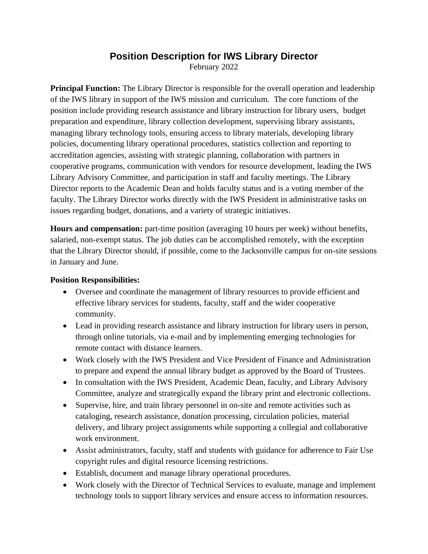## **Position Description for IWS Library Director**

February 2022

**Principal Function:** The Library Director is responsible for the overall operation and leadership of the IWS library in support of the IWS mission and curriculum. The core functions of the position include providing research assistance and library instruction for library users, budget preparation and expenditure, library collection development, supervising library assistants, managing library technology tools, ensuring access to library materials, developing library policies, documenting library operational procedures, statistics collection and reporting to accreditation agencies, assisting with strategic planning, collaboration with partners in cooperative programs, communication with vendors for resource development, leading the IWS Library Advisory Committee, and participation in staff and faculty meetings. The Library Director reports to the Academic Dean and holds faculty status and is a voting member of the faculty. The Library Director works directly with the IWS President in administrative tasks on issues regarding budget, donations, and a variety of strategic initiatives.

**Hours and compensation:** part-time position (averaging 10 hours per week) without benefits, salaried, non-exempt status. The job duties can be accomplished remotely, with the exception that the Library Director should, if possible, come to the Jacksonville campus for on-site sessions in January and June.

## **Position Responsibilities:**

- Oversee and coordinate the management of library resources to provide efficient and effective library services for students, faculty, staff and the wider cooperative community.
- Lead in providing research assistance and library instruction for library users in person, through online tutorials, via e-mail and by implementing emerging technologies for remote contact with distance learners.
- Work closely with the IWS President and Vice President of Finance and Administration to prepare and expend the annual library budget as approved by the Board of Trustees.
- In consultation with the IWS President, Academic Dean, faculty, and Library Advisory Committee, analyze and strategically expand the library print and electronic collections.
- Supervise, hire, and train library personnel in on-site and remote activities such as cataloging, research assistance, donation processing, circulation policies, material delivery, and library project assignments while supporting a collegial and collaborative work environment.
- Assist administrators, faculty, staff and students with guidance for adherence to Fair Use copyright rules and digital resource licensing restrictions.
- Establish, document and manage library operational procedures.
- Work closely with the Director of Technical Services to evaluate, manage and implement technology tools to support library services and ensure access to information resources.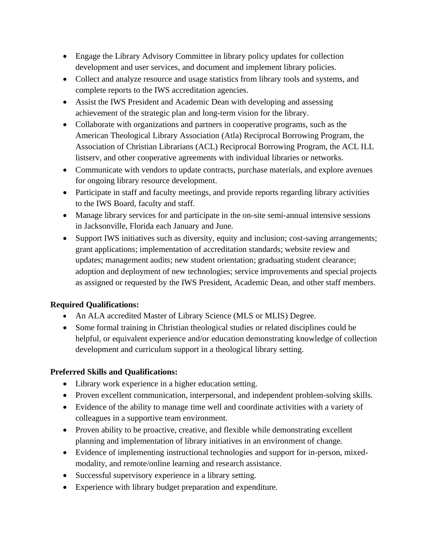- Engage the Library Advisory Committee in library policy updates for collection development and user services, and document and implement library policies.
- Collect and analyze resource and usage statistics from library tools and systems, and complete reports to the IWS accreditation agencies.
- Assist the IWS President and Academic Dean with developing and assessing achievement of the strategic plan and long-term vision for the library.
- Collaborate with organizations and partners in cooperative programs, such as the American Theological Library Association (Atla) Reciprocal Borrowing Program, the Association of Christian Librarians (ACL) Reciprocal Borrowing Program, the ACL ILL listserv, and other cooperative agreements with individual libraries or networks.
- Communicate with vendors to update contracts, purchase materials, and explore avenues for ongoing library resource development.
- Participate in staff and faculty meetings, and provide reports regarding library activities to the IWS Board, faculty and staff.
- Manage library services for and participate in the on-site semi-annual intensive sessions in Jacksonville, Florida each January and June.
- Support IWS initiatives such as diversity, equity and inclusion; cost-saving arrangements; grant applications; implementation of accreditation standards; website review and updates; management audits; new student orientation; graduating student clearance; adoption and deployment of new technologies; service improvements and special projects as assigned or requested by the IWS President, Academic Dean, and other staff members.

## **Required Qualifications:**

- An ALA accredited Master of Library Science (MLS or MLIS) Degree.
- Some formal training in Christian theological studies or related disciplines could be helpful, or equivalent experience and/or education demonstrating knowledge of collection development and curriculum support in a theological library setting.

## **Preferred Skills and Qualifications:**

- Library work experience in a higher education setting.
- Proven excellent communication, interpersonal, and independent problem-solving skills.
- Evidence of the ability to manage time well and coordinate activities with a variety of colleagues in a supportive team environment.
- Proven ability to be proactive, creative, and flexible while demonstrating excellent planning and implementation of library initiatives in an environment of change.
- Evidence of implementing instructional technologies and support for in-person, mixedmodality, and remote/online learning and research assistance.
- Successful supervisory experience in a library setting.
- Experience with library budget preparation and expenditure.